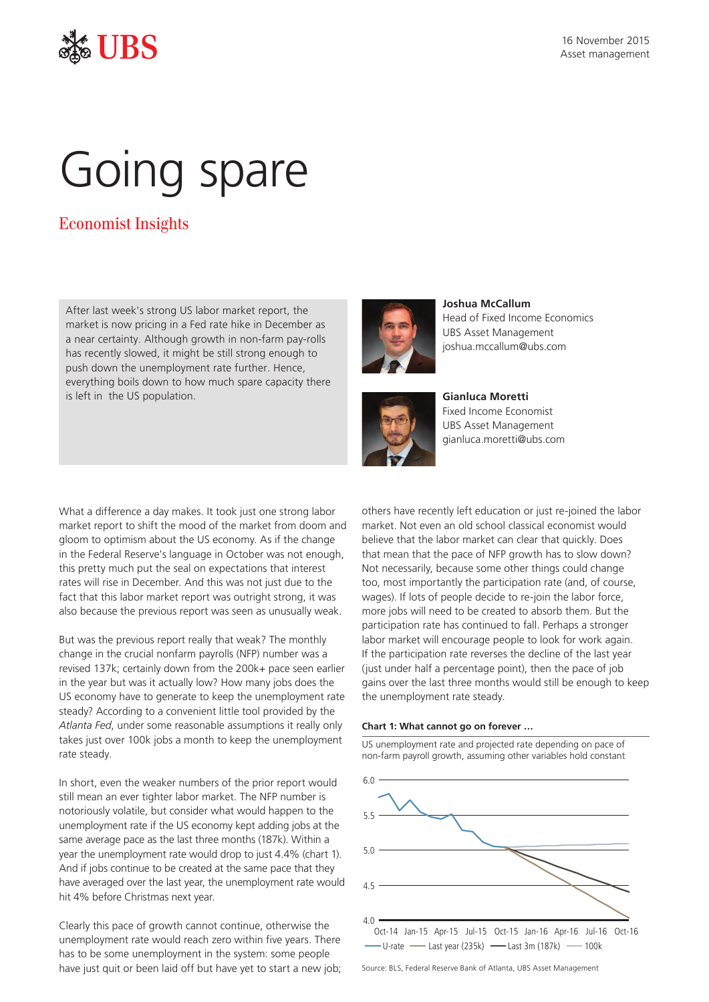

# Going spare

# Economist Insights

After last week's strong US labor market report, the market is now pricing in a Fed rate hike in December as a near certainty. Although growth in non-farm pay-rolls has recently slowed, it might be still strong enough to push down the unemployment rate further. Hence, everything boils down to how much spare capacity there is left in the US population.



**Joshua McCallum** Head of Fixed Income Economics UBS Asset Management joshua.mccallum@ubs.com



**Gianluca Moretti**  Fixed Income Economist UBS Asset Management gianluca.moretti@ubs.com

What a difference a day makes. It took just one strong labor market report to shift the mood of the market from doom and gloom to optimism about the US economy. As if the change in the Federal Reserve's language in October was not enough, this pretty much put the seal on expectations that interest rates will rise in December. And this was not just due to the fact that this labor market report was outright strong, it was also because the previous report was seen as unusually weak.

But was the previous report really that weak? The monthly change in the crucial nonfarm payrolls (NFP) number was a revised 137k; certainly down from the 200k+ pace seen earlier in the year but was it actually low? How many jobs does the US economy have to generate to keep the unemployment rate steady? According to a convenient little tool provided by the *[Atlanta Fed](https://www.frbatlanta.org/chcs/calculator.aspx#calculator.aspx?panel=1)*, under some reasonable assumptions it really only takes just over 100k jobs a month to keep the unemployment rate steady.

In short, even the weaker numbers of the prior report would still mean an ever tighter labor market. The NFP number is notoriously volatile, but consider what would happen to the unemployment rate if the US economy kept adding jobs at the same average pace as the last three months (187k). Within a year the unemployment rate would drop to just 4.4% (chart 1). And if jobs continue to be created at the same pace that they have averaged over the last year, the unemployment rate would hit 4% before Christmas next year.

Clearly this pace of growth cannot continue, otherwise the unemployment rate would reach zero within five years. There has to be some unemployment in the system: some people have just quit or been laid off but have yet to start a new job; others have recently left education or just re-joined the labor market. Not even an old school classical economist would believe that the labor market can clear that quickly. Does that mean that the pace of NFP growth has to slow down? Not necessarily, because some other things could change too, most importantly the participation rate (and, of course, wages). If lots of people decide to re-join the labor force, more jobs will need to be created to absorb them. But the participation rate has continued to fall. Perhaps a stronger labor market will encourage people to look for work again. If the participation rate reverses the decline of the last year (just under half a percentage point), then the pace of job gains over the last three months would still be enough to keep the unemployment rate steady.

## **Chart 1: What cannot go on forever …**

US unemployment rate and projected rate depending on pace of non-farm payroll growth, assuming other variables hold constant



Source: BLS, Federal Reserve Bank of Atlanta, UBS Asset Management